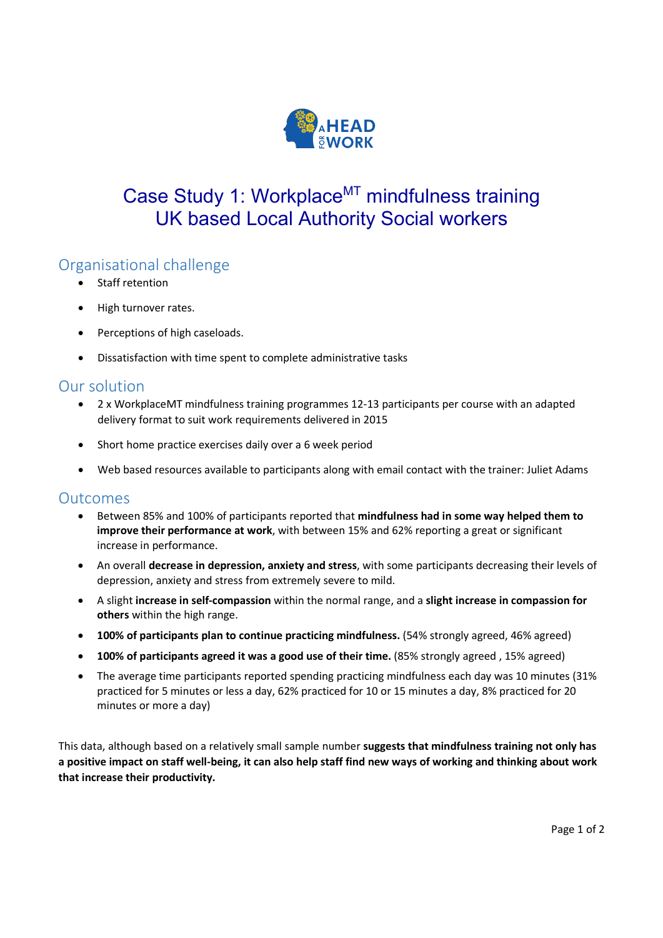

# Case Study 1: Workplace<sup>MT</sup> mindfulness training UK based Local Authority Social workers

### Organisational challenge

- Staff retention
- High turnover rates.
- Perceptions of high caseloads.
- Dissatisfaction with time spent to complete administrative tasks

#### Our solution

- 2 x WorkplaceMT mindfulness training programmes 12-13 participants per course with an adapted delivery format to suit work requirements delivered in 2015
- Short home practice exercises daily over a 6 week period
- Web based resources available to participants along with email contact with the trainer: Juliet Adams

#### **Outcomes**

- Between 85% and 100% of participants reported that **mindfulness had in some way helped them to improve their performance at work**, with between 15% and 62% reporting a great or significant increase in performance.
- An overall **decrease in depression, anxiety and stress**, with some participants decreasing their levels of depression, anxiety and stress from extremely severe to mild.
- A slight **increase in self-compassion** within the normal range, and a **slight increase in compassion for others** within the high range.
- **100% of participants plan to continue practicing mindfulness.** (54% strongly agreed, 46% agreed)
- **100% of participants agreed it was a good use of their time.** (85% strongly agreed , 15% agreed)
- The average time participants reported spending practicing mindfulness each day was 10 minutes (31% practiced for 5 minutes or less a day, 62% practiced for 10 or 15 minutes a day, 8% practiced for 20 minutes or more a day)

This data, although based on a relatively small sample number **suggests that mindfulness training not only has a positive impact on staff well-being, it can also help staff find new ways of working and thinking about work that increase their productivity.**